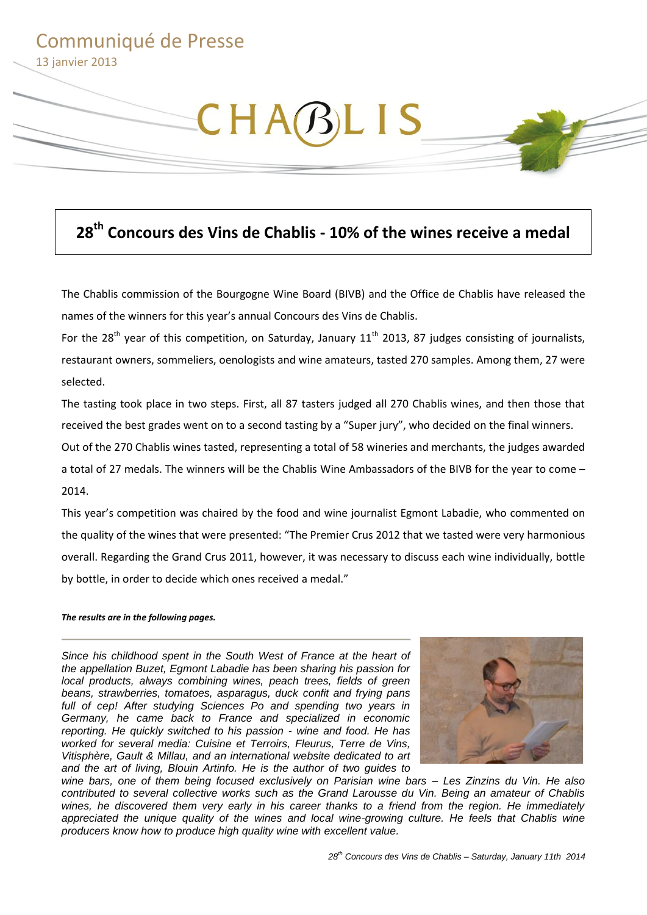# Communiqué de Presse 13 janvier 2013

# CHABLIS

# **28th Concours des Vins de Chablis - 10% of the wines receive a medal**

The Chablis commission of the Bourgogne Wine Board (BIVB) and the Office de Chablis have released the names of the winners for this year's annual Concours des Vins de Chablis.

For the 28<sup>th</sup> year of this competition, on Saturday, January  $11<sup>th</sup>$  2013, 87 judges consisting of journalists, restaurant owners, sommeliers, oenologists and wine amateurs, tasted 270 samples. Among them, 27 were selected.

The tasting took place in two steps. First, all 87 tasters judged all 270 Chablis wines, and then those that received the best grades went on to a second tasting by a "Super jury", who decided on the final winners.

Out of the 270 Chablis wines tasted, representing a total of 58 wineries and merchants, the judges awarded a total of 27 medals. The winners will be the Chablis Wine Ambassadors of the BIVB for the year to come – 2014.

This year's competition was chaired by the food and wine journalist Egmont Labadie, who commented on the quality of the wines that were presented: "The Premier Crus 2012 that we tasted were very harmonious overall. Regarding the Grand Crus 2011, however, it was necessary to discuss each wine individually, bottle by bottle, in order to decide which ones received a medal."

#### *The results are in the following pages.*

*Since his childhood spent in the South West of France at the heart of the appellation Buzet, Egmont Labadie has been sharing his passion for local products, always combining wines, peach trees, fields of green beans, strawberries, tomatoes, asparagus, duck confit and frying pans full of cep! After studying Sciences Po and spending two years in Germany, he came back to France and specialized in economic reporting. He quickly switched to his passion - wine and food. He has worked for several media: Cuisine et Terroirs, Fleurus, Terre de Vins, Vitisphère, Gault & Millau, and an international website dedicated to art and the art of living, Blouin Artinfo. He is the author of two guides to* 



*wine bars, one of them being focused exclusively on Parisian wine bars – Les Zinzins du Vin. He also contributed to several collective works such as the Grand Larousse du Vin. Being an amateur of Chablis wines, he discovered them very early in his career thanks to a friend from the region. He immediately*  appreciated the unique quality of the wines and local wine-growing culture. He feels that Chablis wine *producers know how to produce high quality wine with excellent value.*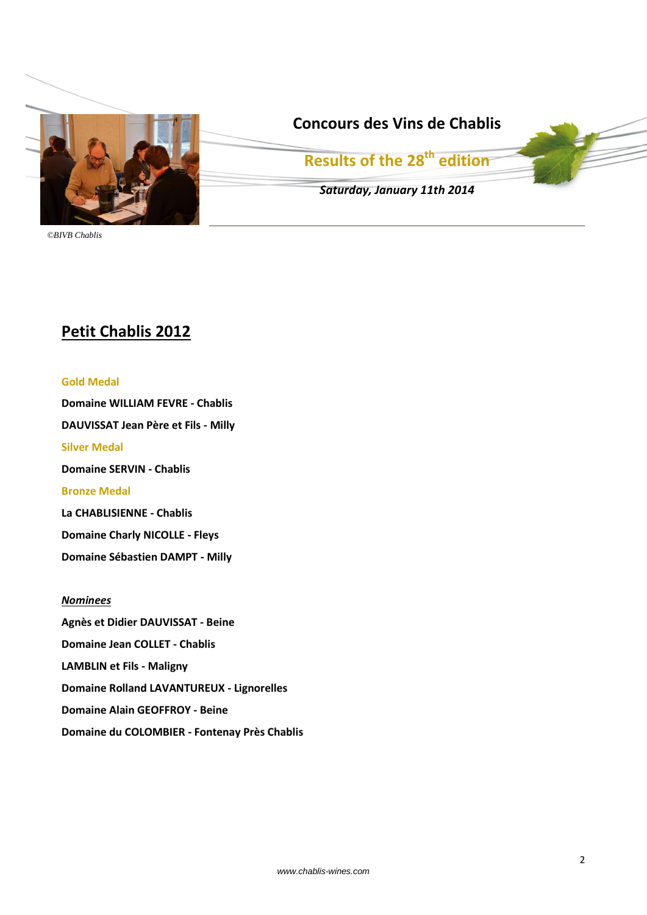

# **Concours des Vins de Chablis**

**Results of the 28th edition**

*Saturday, January 11th 2014*

*©BIVB Chablis*

# **Petit Chablis 2012**

## **Gold Medal**

**Domaine WILLIAM FEVRE - Chablis DAUVISSAT Jean Père et Fils - Milly Silver Medal Domaine SERVIN - Chablis Bronze Medal La CHABLISIENNE - Chablis Domaine Charly NICOLLE - Fleys**

**Domaine Sébastien DAMPT - Milly**

## *Nominees*

**Agnès et Didier DAUVISSAT - Beine Domaine Jean COLLET - Chablis LAMBLIN et Fils - Maligny Domaine Rolland LAVANTUREUX - Lignorelles Domaine Alain GEOFFROY - Beine Domaine du COLOMBIER - Fontenay Près Chablis**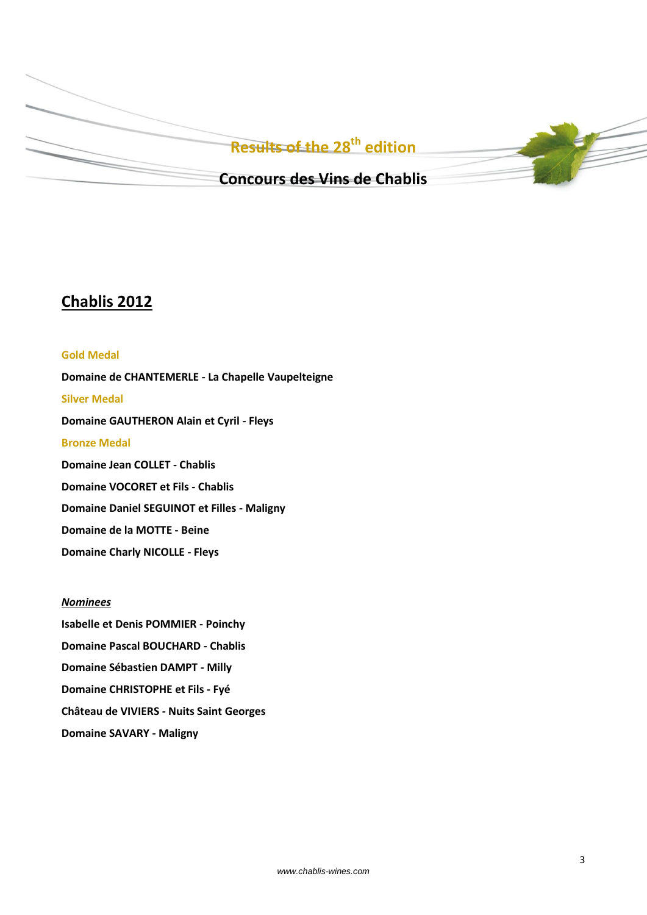

## **Chablis 2012**

# **Gold Medal Domaine de CHANTEMERLE - La Chapelle Vaupelteigne Silver Medal Domaine GAUTHERON Alain et Cyril - Fleys Bronze Medal Domaine Jean COLLET - Chablis Domaine VOCORET et Fils - Chablis Domaine Daniel SEGUINOT et Filles - Maligny Domaine de la MOTTE - Beine Domaine Charly NICOLLE - Fleys**

## *Nominees*

**Isabelle et Denis POMMIER - Poinchy Domaine Pascal BOUCHARD - Chablis Domaine Sébastien DAMPT - Milly Domaine CHRISTOPHE et Fils - Fyé Château de VIVIERS - Nuits Saint Georges Domaine SAVARY - Maligny**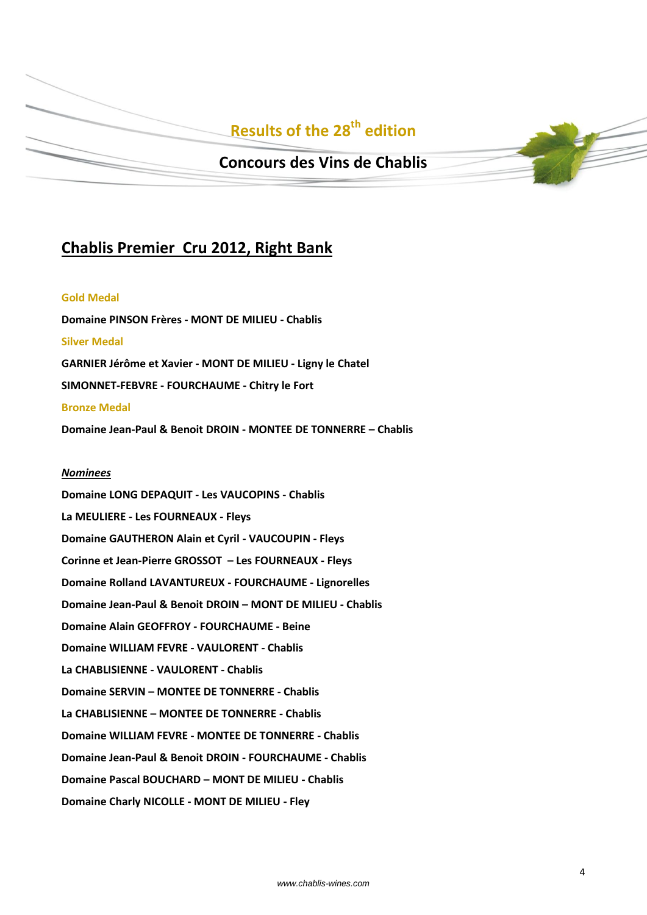# **Results of the 28th edition**

## **Concours des Vins de Chablis**

## **Chablis Premier Cru 2012, Right Bank**

#### **Gold Medal**

**Domaine PINSON Frères - MONT DE MILIEU - Chablis Silver Medal GARNIER Jérôme et Xavier - MONT DE MILIEU - Ligny le Chatel SIMONNET-FEBVRE - FOURCHAUME - Chitry le Fort Bronze Medal**

**Domaine Jean-Paul & Benoit DROIN - MONTEE DE TONNERRE – Chablis**

#### *Nominees*

**Domaine LONG DEPAQUIT - Les VAUCOPINS - Chablis La MEULIERE - Les FOURNEAUX - Fleys Domaine GAUTHERON Alain et Cyril - VAUCOUPIN - Fleys Corinne et Jean-Pierre GROSSOT – Les FOURNEAUX - Fleys Domaine Rolland LAVANTUREUX - FOURCHAUME - Lignorelles Domaine Jean-Paul & Benoit DROIN – MONT DE MILIEU - Chablis Domaine Alain GEOFFROY - FOURCHAUME - Beine Domaine WILLIAM FEVRE - VAULORENT - Chablis La CHABLISIENNE - VAULORENT - Chablis Domaine SERVIN – MONTEE DE TONNERRE - Chablis La CHABLISIENNE – MONTEE DE TONNERRE - Chablis Domaine WILLIAM FEVRE - MONTEE DE TONNERRE - Chablis Domaine Jean-Paul & Benoit DROIN - FOURCHAUME - Chablis Domaine Pascal BOUCHARD – MONT DE MILIEU - Chablis Domaine Charly NICOLLE - MONT DE MILIEU - Fley**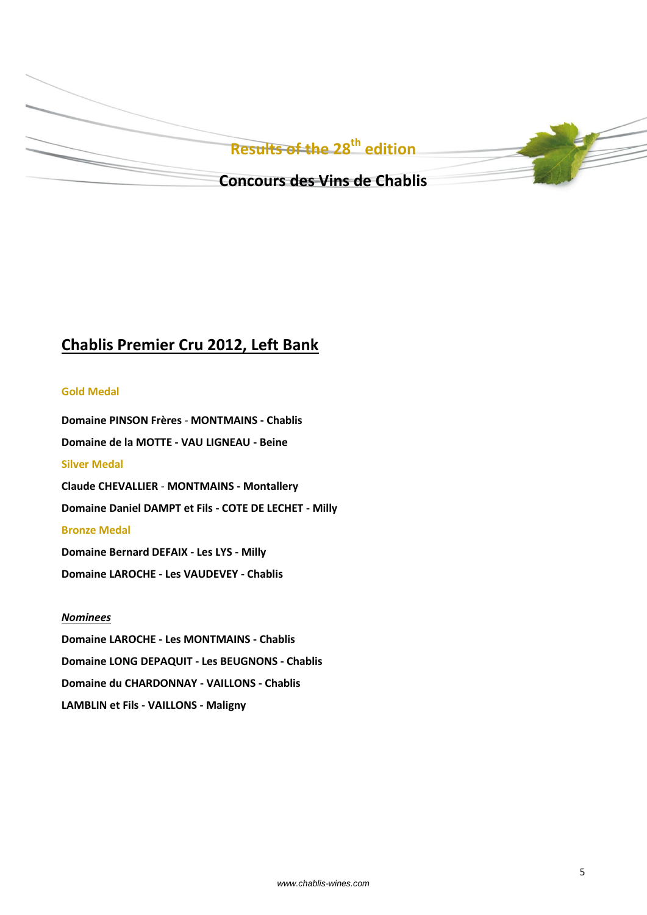

# **Chablis Premier Cru 2012, Left Bank**

### **Gold Medal**

**Domaine PINSON Frères** - **MONTMAINS - Chablis Domaine de la MOTTE - VAU LIGNEAU - Beine Silver Medal Claude CHEVALLIER** - **MONTMAINS - Montallery Domaine Daniel DAMPT et Fils - COTE DE LECHET - Milly Bronze Medal Domaine Bernard DEFAIX - Les LYS - Milly Domaine LAROCHE - Les VAUDEVEY - Chablis**

## *Nominees*

**Domaine LAROCHE - Les MONTMAINS - Chablis Domaine LONG DEPAQUIT - Les BEUGNONS - Chablis Domaine du CHARDONNAY - VAILLONS - Chablis LAMBLIN et Fils - VAILLONS - Maligny**